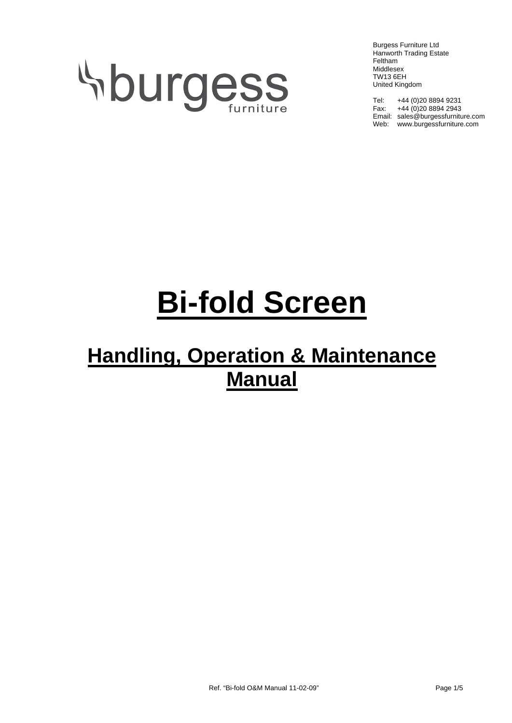# **Sburgess**

Burgess Furniture Ltd Hanworth Trading Estate Feltham Middlesex TW13 6EH United Kingdom

Tel: +44 (0)20 8894 9231 Fax:  $+44(0)2088942943$ Email: sales@burgessfurniture.com Web: www.burgessfurniture.com

# **Bi-fold Screen**

## **Handling, Operation & Maintenance Manual**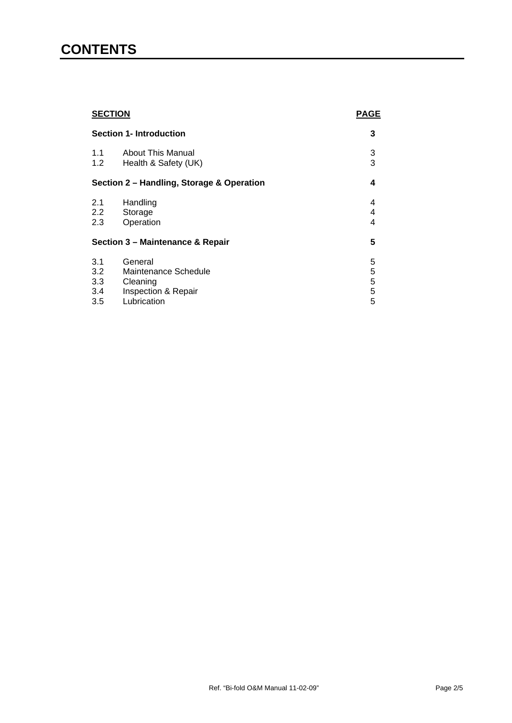### **CONTENTS**

| <b>SECTION</b><br><b>Section 1- Introduction</b> |                                                                    | <b>PAGE</b> |
|--------------------------------------------------|--------------------------------------------------------------------|-------------|
|                                                  |                                                                    | 3           |
| 1.1<br>1.2                                       | <b>About This Manual</b><br>Health & Safety (UK)                   | 3<br>3      |
| Section 2 - Handling, Storage & Operation        |                                                                    | 4           |
| 2.1<br>2.2<br>2.3                                | Handling<br>Storage<br>Operation                                   | 4<br>4<br>4 |
| Section 3 - Maintenance & Repair                 |                                                                    | 5           |
| 3.1<br>3.2<br>3.3<br>3.4                         | General<br>Maintenance Schedule<br>Cleaning<br>Inspection & Repair | 5<br>55555  |
| 3.5                                              | Lubrication                                                        |             |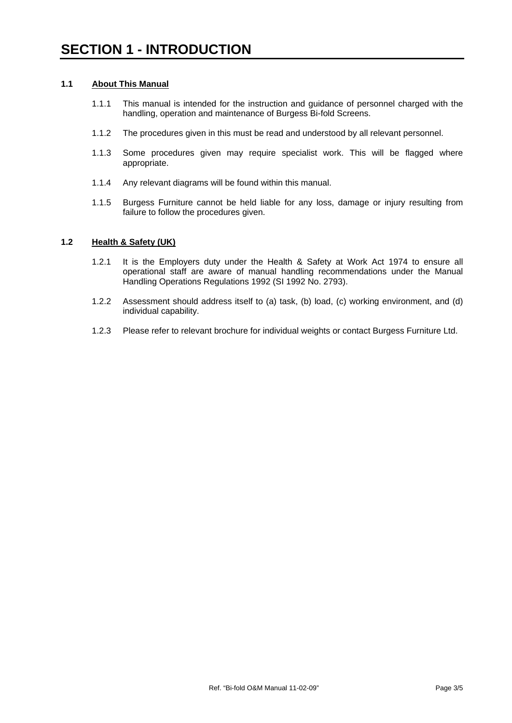#### **1.1 About This Manual**

- 1.1.1 This manual is intended for the instruction and guidance of personnel charged with the handling, operation and maintenance of Burgess Bi-fold Screens.
- 1.1.2 The procedures given in this must be read and understood by all relevant personnel.
- 1.1.3 Some procedures given may require specialist work. This will be flagged where appropriate.
- 1.1.4 Any relevant diagrams will be found within this manual.
- 1.1.5 Burgess Furniture cannot be held liable for any loss, damage or injury resulting from failure to follow the procedures given.

#### **1.2 Health & Safety (UK)**

- 1.2.1 It is the Employers duty under the Health & Safety at Work Act 1974 to ensure all operational staff are aware of manual handling recommendations under the Manual Handling Operations Regulations 1992 (SI 1992 No. 2793).
- 1.2.2 Assessment should address itself to (a) task, (b) load, (c) working environment, and (d) individual capability.
- 1.2.3 Please refer to relevant brochure for individual weights or contact Burgess Furniture Ltd.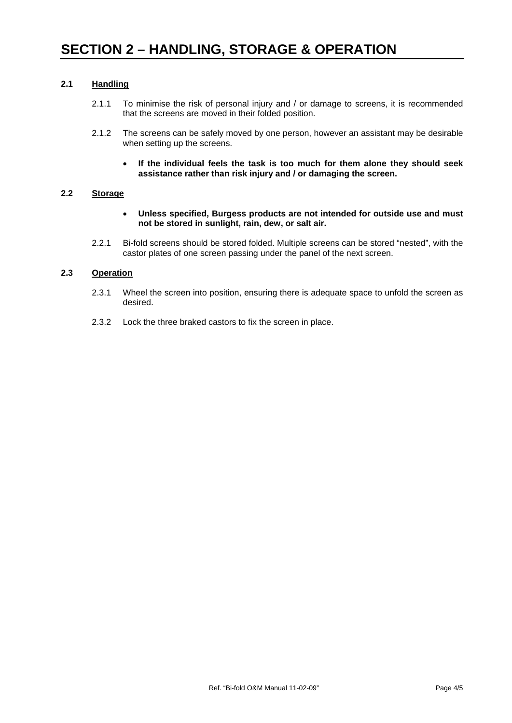#### **2.1 Handling**

- 2.1.1 To minimise the risk of personal injury and / or damage to screens, it is recommended that the screens are moved in their folded position.
- 2.1.2 The screens can be safely moved by one person, however an assistant may be desirable when setting up the screens.
	- **If the individual feels the task is too much for them alone they should seek assistance rather than risk injury and / or damaging the screen.**

#### **2.2 Storage**

- **Unless specified, Burgess products are not intended for outside use and must not be stored in sunlight, rain, dew, or salt air.**
- 2.2.1 Bi-fold screens should be stored folded. Multiple screens can be stored "nested", with the castor plates of one screen passing under the panel of the next screen.

#### **2.3 Operation**

- 2.3.1 Wheel the screen into position, ensuring there is adequate space to unfold the screen as desired.
- 2.3.2 Lock the three braked castors to fix the screen in place.